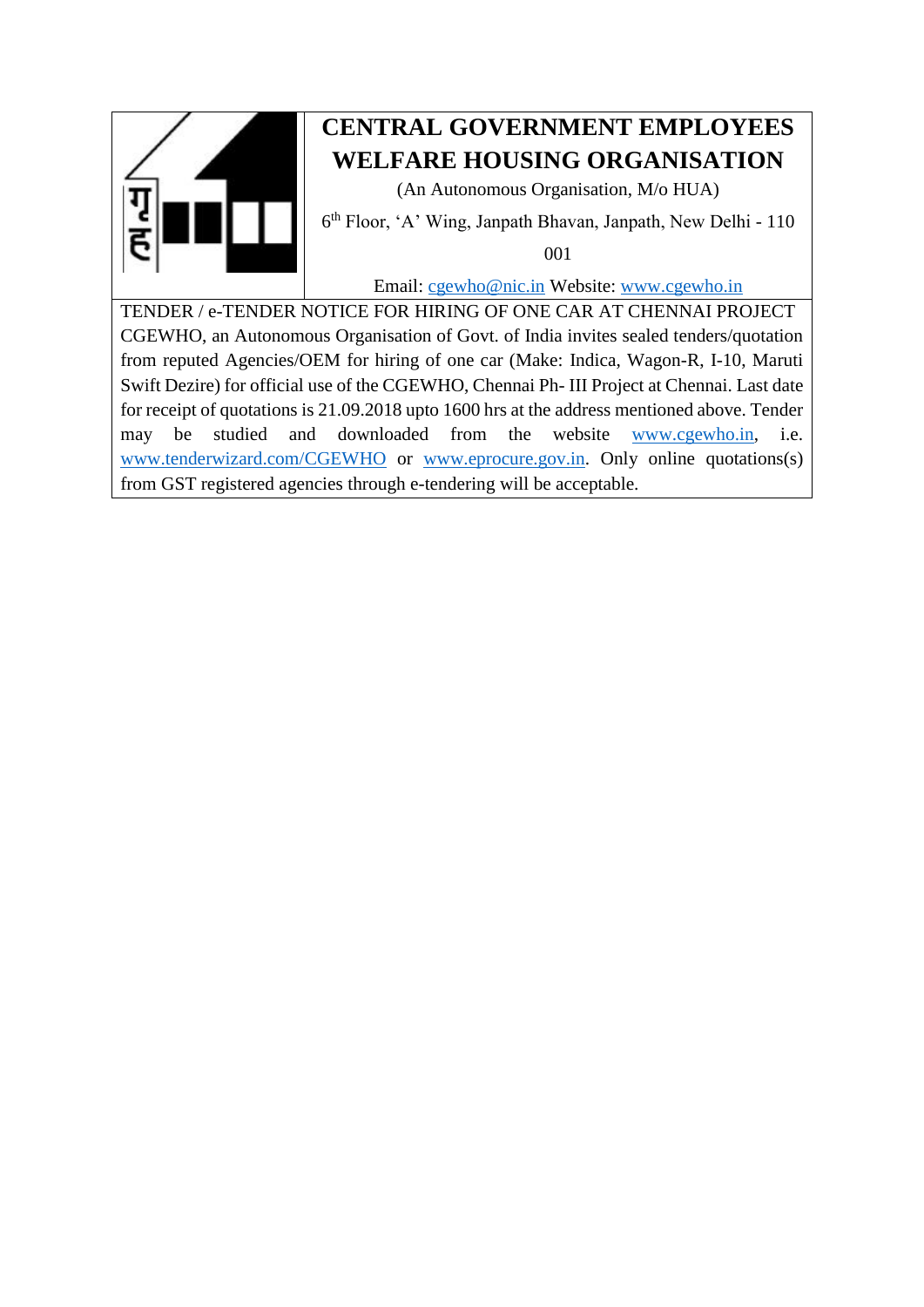

# **CENTRAL GOVERNMENT EMPLOYEES WELFARE HOUSING ORGANISATION**

(An Autonomous Organisation, M/o HUA)

6 th Floor, 'A' Wing, Janpath Bhavan, Janpath, New Delhi - 110

001

Email: [cgewho@nic.in](mailto:cgewho@nic.in) Website: [www.cgewho.in](http://www.cgewho.in/)

TENDER / e-TENDER NOTICE FOR HIRING OF ONE CAR AT CHENNAI PROJECT CGEWHO, an Autonomous Organisation of Govt. of India invites sealed tenders/quotation from reputed Agencies/OEM for hiring of one car (Make: Indica, Wagon-R, I-10, Maruti Swift Dezire) for official use of the CGEWHO, Chennai Ph- III Project at Chennai. Last date for receipt of quotations is 21.09.2018 upto 1600 hrs at the address mentioned above. Tender may be studied and downloaded from the website [www.cgewho.in,](http://www.cgewho.in/) i.e. [www.tenderwizard.com/CGEWHO](http://www.tenderwizard.com/CGEWHO) or [www.eprocure.gov.in.](http://www.eprocure.gov.in/) Only online quotations(s) from GST registered agencies through e-tendering will be acceptable.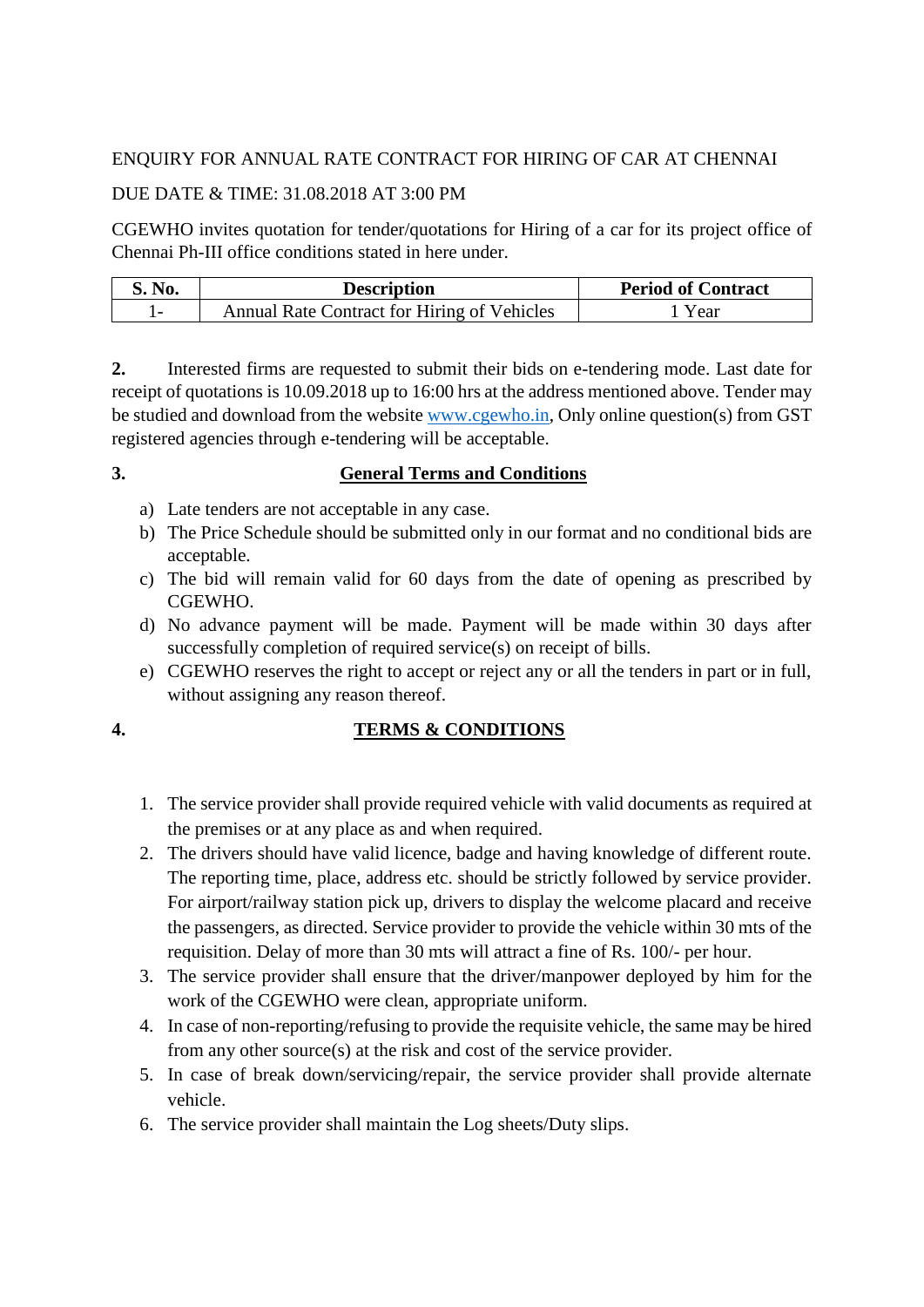# ENQUIRY FOR ANNUAL RATE CONTRACT FOR HIRING OF CAR AT CHENNAI

# DUE DATE & TIME: 31.08.2018 AT 3:00 PM

CGEWHO invites quotation for tender/quotations for Hiring of a car for its project office of Chennai Ph-III office conditions stated in here under.

| S. No. | <b>Description</b>                                 | <b>Period of Contract</b> |
|--------|----------------------------------------------------|---------------------------|
|        | <b>Annual Rate Contract for Hiring of Vehicles</b> | Year                      |

**2.** Interested firms are requested to submit their bids on e-tendering mode. Last date for receipt of quotations is 10.09.2018 up to 16:00 hrs at the address mentioned above. Tender may be studied and download from the website [www.cgewho.in,](http://www.cgewho.in/) Only online question(s) from GST registered agencies through e-tendering will be acceptable.

### **3. General Terms and Conditions**

- a) Late tenders are not acceptable in any case.
- b) The Price Schedule should be submitted only in our format and no conditional bids are acceptable.
- c) The bid will remain valid for 60 days from the date of opening as prescribed by CGEWHO.
- d) No advance payment will be made. Payment will be made within 30 days after successfully completion of required service(s) on receipt of bills.
- e) CGEWHO reserves the right to accept or reject any or all the tenders in part or in full, without assigning any reason thereof.

# **4. TERMS & CONDITIONS**

- 1. The service provider shall provide required vehicle with valid documents as required at the premises or at any place as and when required.
- 2. The drivers should have valid licence, badge and having knowledge of different route. The reporting time, place, address etc. should be strictly followed by service provider. For airport/railway station pick up, drivers to display the welcome placard and receive the passengers, as directed. Service provider to provide the vehicle within 30 mts of the requisition. Delay of more than 30 mts will attract a fine of Rs. 100/- per hour.
- 3. The service provider shall ensure that the driver/manpower deployed by him for the work of the CGEWHO were clean, appropriate uniform.
- 4. In case of non-reporting/refusing to provide the requisite vehicle, the same may be hired from any other source(s) at the risk and cost of the service provider.
- 5. In case of break down/servicing/repair, the service provider shall provide alternate vehicle.
- 6. The service provider shall maintain the Log sheets/Duty slips.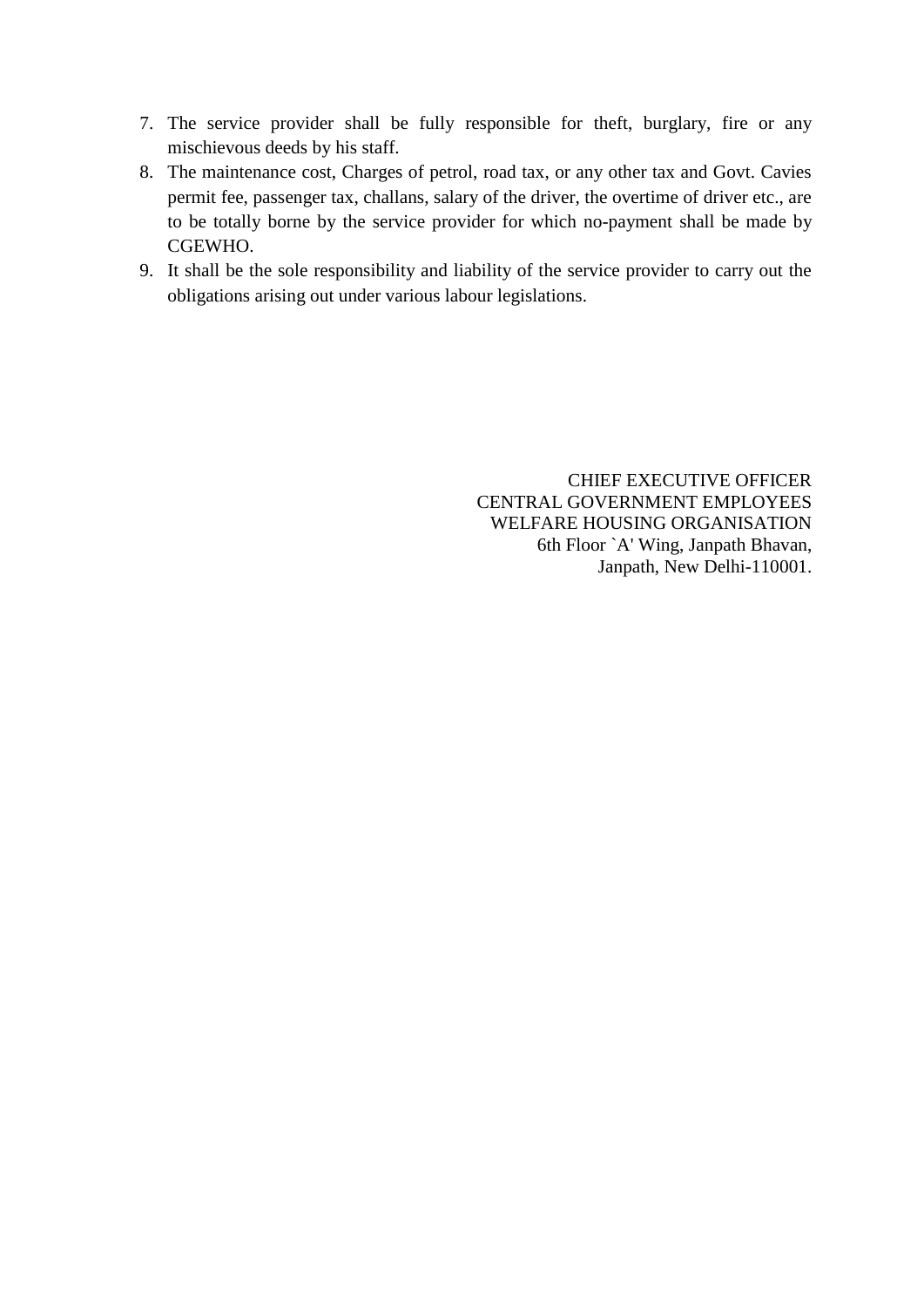- 7. The service provider shall be fully responsible for theft, burglary, fire or any mischievous deeds by his staff.
- 8. The maintenance cost, Charges of petrol, road tax, or any other tax and Govt. Cavies permit fee, passenger tax, challans, salary of the driver, the overtime of driver etc., are to be totally borne by the service provider for which no-payment shall be made by CGEWHO.
- 9. It shall be the sole responsibility and liability of the service provider to carry out the obligations arising out under various labour legislations.

CHIEF EXECUTIVE OFFICER CENTRAL GOVERNMENT EMPLOYEES WELFARE HOUSING ORGANISATION 6th Floor `A' Wing, Janpath Bhavan, Janpath, New Delhi-110001.